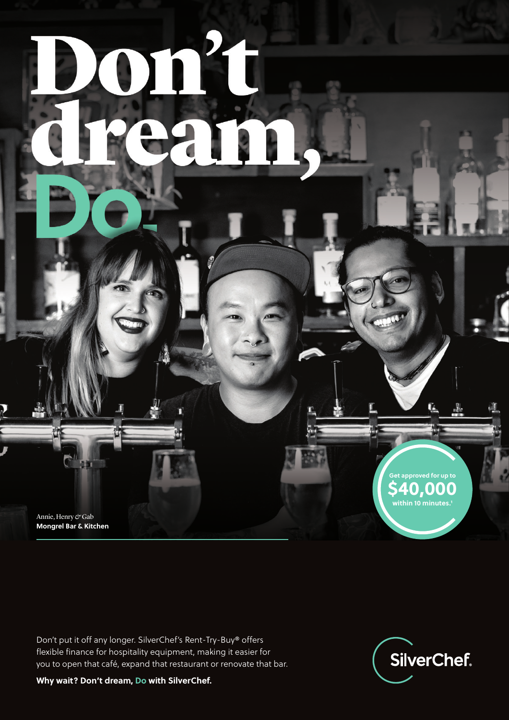Annie, Henry *&* Gab **Mongrel Bar & Kitchen**

Don't put it off any longer. SilverChef's Rent-Try-Buy® offers flexible finance for hospitality equipment, making it easier for you to open that café, expand that restaurant or renovate that bar.



**Get approved for up to \$40,000 within 10 minutes.1**

Ţ.

M

**Why wait? Don't dream, Do with SilverChef.**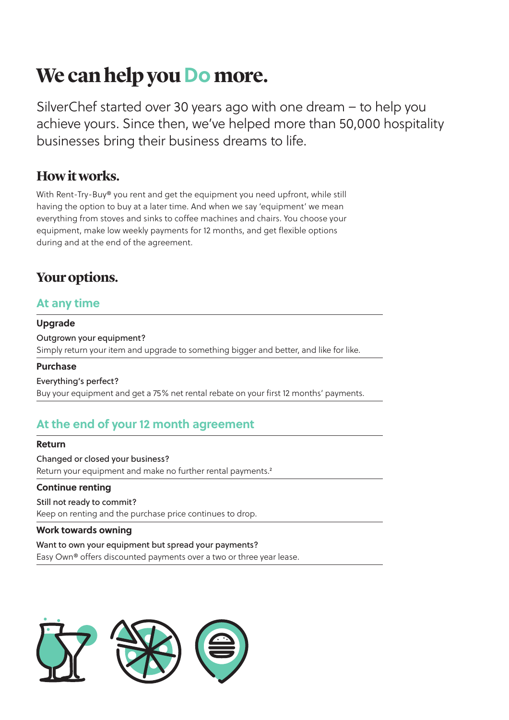# **We can help you Do more.**

SilverChef started over 30 years ago with one dream – to help you achieve yours. Since then, we've helped more than 50,000 hospitality businesses bring their business dreams to life.

### **How it works.**

With Rent-Try-Buy® you rent and get the equipment you need upfront, while still having the option to buy at a later time. And when we say 'equipment' we mean everything from stoves and sinks to coffee machines and chairs. You choose your equipment, make low weekly payments for 12 months, and get flexible options during and at the end of the agreement.

## **Your options.**

### **At any time**

### **Upgrade**

Outgrown your equipment? Simply return your item and upgrade to something bigger and better, and like for like.

### **Purchase**

Everything's perfect? Buy your equipment and get a 75% net rental rebate on your first 12 months' payments.

### **At the end of your 12 month agreement**

#### **Return**

Changed or closed your business? Return your equipment and make no further rental payments.<sup>2</sup>

### **Continue renting**

Still not ready to commit? Keep on renting and the purchase price continues to drop.

#### **Work towards owning**

#### Want to own your equipment but spread your payments?

Easy Own® offers discounted payments over a two or three year lease.

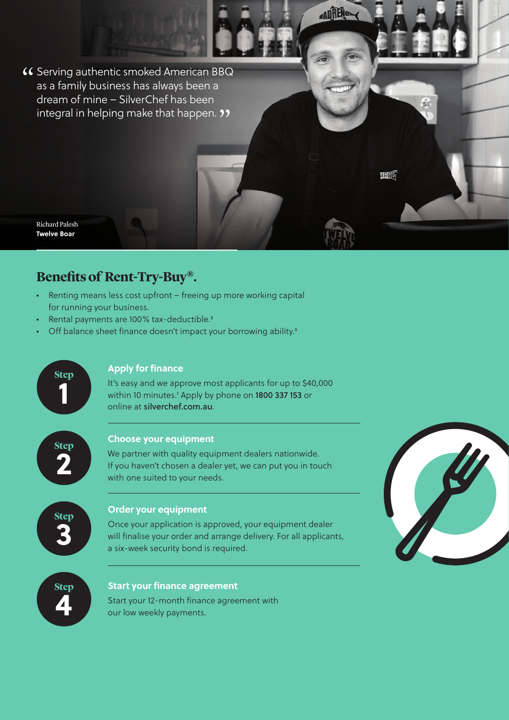**(C** Serving authentic smoked American BBQ<br>as a family business has always been a as a family business has always been a dream of mine – SilverChef has been integral in helping make that happen. 33<br>.

Richard Palesh **Twelve Boar**

### **Benefits of Rent-Try-Buy®.**

- Renting means less cost upfront freeing up more working capital for running your business.
- Rental payments are 100% tax-deductible.3
- Off balance sheet finance doesn't impact your borrowing ability.<sup>3</sup>



ADRENO

**MRIJE**